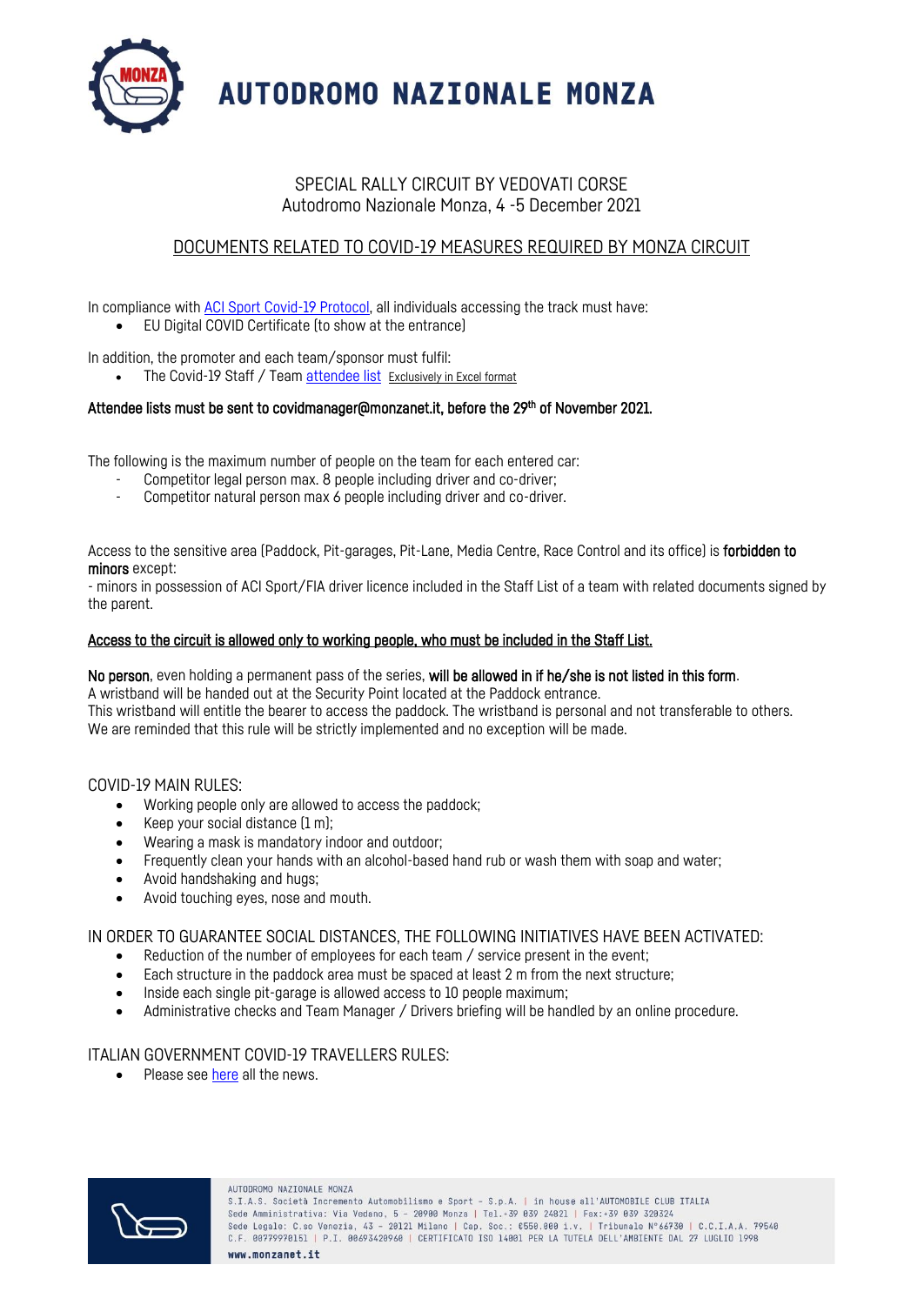

**AUTODROMO NAZIONALE MONZA** 

## SPECIAL RALLY CIRCUIT BY VEDOVATI CORSE Autodromo Nazionale Monza, 4 -5 December 2021

# DOCUMENTS RELATED TO COVID-19 MEASURES REQUIRED BY MONZA CIRCUIT

In compliance with [ACI Sport Covid-19 Protocol,](https://drive.google.com/file/d/1wNg90Cjuv2401SxByO4NEbUhQ8lKf9Jo/view?usp=sharing) all individuals accessing the track must have:

• EU Digital COVID Certificate (to show at the entrance)

In addition, the promoter and each team/sponsor must fulfil:

The Covid-19 Staff / Tea[m attendee list](https://docs.google.com/spreadsheets/d/1ywtZ8nhXpU3ngzcOtVgy2i9hKUg9SAQA/edit?usp=sharing&ouid=114630108436083338928&rtpof=true&sd=true) Exclusively in Excel format

### Attendee lists must be sent to covidmanager@monzanet.it, before the 29<sup>th</sup> of November 2021.

The following is the maximum number of people on the team for each entered car:

- Competitor legal person max. 8 people including driver and co-driver;
- Competitor natural person max 6 people including driver and co-driver.

Access to the sensitive area (Paddock, Pit-garages, Pit-Lane, Media Centre, Race Control and its office) is forbidden to minors except:

- minors in possession of ACI Sport/FIA driver licence included in the Staff List of a team with related documents signed by the parent.

### Access to the circuit is allowed only to working people, who must be included in the Staff List.

# No person, even holding a permanent pass of the series, will be allowed in if he/she is not listed in this form.

A wristband will be handed out at the Security Point located at the Paddock entrance. This wristband will entitle the bearer to access the paddock. The wristband is personal and not transferable to others. We are reminded that this rule will be strictly implemented and no exception will be made.

#### COVID-19 MAIN RULES:

- Working people only are allowed to access the paddock;
- Keep your social distance (1 m);
- Wearing a mask is mandatory indoor and outdoor;
- Frequently clean your hands with an alcohol-based hand rub or wash them with soap and water;
- Avoid handshaking and hugs;
- Avoid touching eyes, nose and mouth.

IN ORDER TO GUARANTEE SOCIAL DISTANCES, THE FOLLOWING INITIATIVES HAVE BEEN ACTIVATED:

- Reduction of the number of employees for each team / service present in the event;
- Each structure in the paddock area must be spaced at least 2 m from the next structure;
- Inside each single pit-garage is allowed access to 10 people maximum;
- Administrative checks and Team Manager / Drivers briefing will be handled by an online procedure.

### ITALIAN GOVERNMENT COVID-19 TRAVELLERS RULES:

• Please se[e here](http://www.salute.gov.it/portale/nuovocoronavirus/dettaglioContenutiNuovoCoronavirus.jsp?lingua=english&id=5412&area=nuovoCoronavirus&menu=vuoto) all the news.